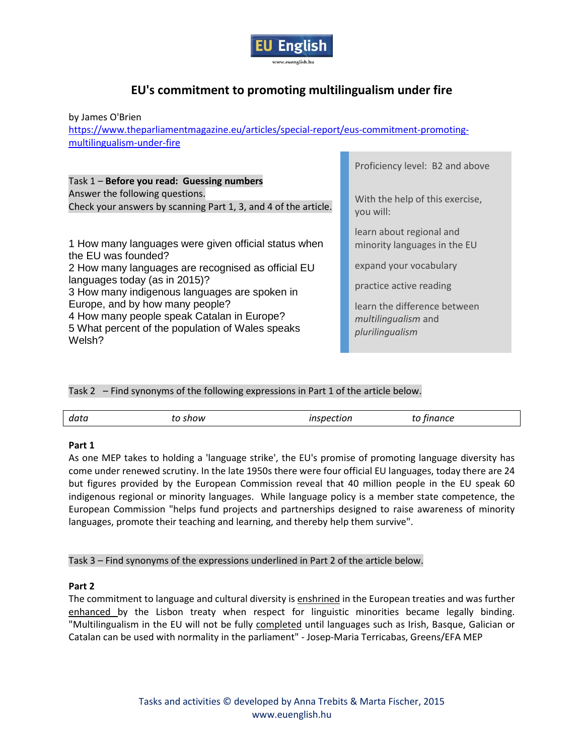

# **EU's commitment to promoting multilingualism under fire**

by James O'Brien

[https://www.theparliamentmagazine.eu/articles/special-report/eus-commitment-promoting](https://www.theparliamentmagazine.eu/articles/special-report/eus-commitment-promoting-multilingualism-under-fire)[multilingualism-under-fire](https://www.theparliamentmagazine.eu/articles/special-report/eus-commitment-promoting-multilingualism-under-fire)

|                                                                                                                                                  | Proficiency level: B2 and above                                        |
|--------------------------------------------------------------------------------------------------------------------------------------------------|------------------------------------------------------------------------|
| Task 1 - Before you read: Guessing numbers<br>Answer the following questions.<br>Check your answers by scanning Part 1, 3, and 4 of the article. | With the help of this exercise,<br>you will:                           |
|                                                                                                                                                  |                                                                        |
| 1 How many languages were given official status when<br>the EU was founded?                                                                      | learn about regional and<br>minority languages in the EU               |
| 2 How many languages are recognised as official EU                                                                                               | expand your vocabulary                                                 |
| languages today (as in 2015)?<br>3 How many indigenous languages are spoken in                                                                   | practice active reading                                                |
| Europe, and by how many people?<br>4 How many people speak Catalan in Europe?<br>5 What percent of the population of Wales speaks<br>Welsh?      | learn the difference between<br>multilingualism and<br>plurilingualism |
|                                                                                                                                                  |                                                                        |

Task 2 – Find synonyms of the following expressions in Part 1 of the article below.

| data | show<br>____ | rection | ~~~~<br>- ייונג<br>$ -$ |  |
|------|--------------|---------|-------------------------|--|
|      |              |         |                         |  |

# **Part 1**

As one MEP takes to holding a 'language strike', the EU's promise of promoting language diversity has come under renewed scrutiny. In the late 1950s there were four official EU languages, today there are 24 but figures provided by the European Commission reveal that 40 million people in the EU speak 60 indigenous regional or minority languages. While language policy is a member state competence, the European Commission "helps fund projects and partnerships designed to raise awareness of minority languages, promote their teaching and learning, and thereby help them survive".

Task 3 – Find synonyms of the expressions underlined in Part 2 of the article below.

# **Part 2**

The commitment to language and cultural diversity is enshrined in the European treaties and was further enhanced by the Lisbon treaty when respect for linguistic minorities became legally binding. "Multilingualism in the EU will not be fully completed until languages such as Irish, Basque, Galician or Catalan can be used with normality in the parliament" - Josep-Maria Terricabas, Greens/EFA MEP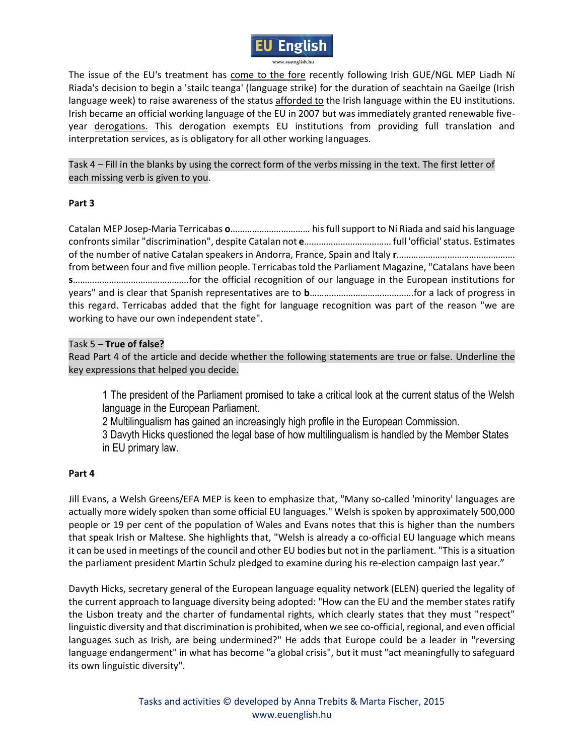

The issue of the EU's treatment has come to the fore recently following Irish GUE/NGL MEP Liadh Ní Riada's decision to begin a 'stailc teanga' (language strike) for the duration of seachtain na Gaeilge (Irish language week) to raise awareness of the status afforded to the Irish language within the EU institutions. Irish became an official working language of the EU in 2007 but was immediately granted renewable fiveyear derogations. This derogation exempts EU institutions from providing full translation and interpretation services, as is obligatory for all other working languages.

Task 4 – Fill in the blanks by using the correct form of the verbs missing in the text. The first letter of each missing verb is given to you.

# **Part 3**

Catalan MEP Josep-Maria Terricabas **o**…………………………… his full support to Ní Riada and said his language confronts similar "discrimination", despite Catalan not **e**……………………………… full 'official' status. Estimates of the number of native Catalan speakers in Andorra, France, Spain and Italy **r**…………………………………………. from between four and five million people. Terricabas told the Parliament Magazine, "Catalans have been **s**…………………………………………for the official recognition of our language in the European institutions for years" and is clear that Spanish representatives are to **b**…………………………………….for a lack of progress in this regard. Terricabas added that the fight for language recognition was part of the reason "we are working to have our own independent state".

# Task 5 – **True of false?**

Read Part 4 of the article and decide whether the following statements are true or false. Underline the key expressions that helped you decide.

1 The president of the Parliament promised to take a critical look at the current status of the Welsh language in the European Parliament.

2 Multilingualism has gained an increasingly high profile in the European Commission.

3 Davyth Hicks questioned the legal base of how multilingualism is handled by the Member States in EU primary law.

# **Part 4**

Jill Evans, a Welsh Greens/EFA MEP is keen to emphasize that, "Many so-called 'minority' languages are actually more widely spoken than some official EU languages." Welsh is spoken by approximately 500,000 people or 19 per cent of the population of Wales and Evans notes that this is higher than the numbers that speak Irish or Maltese. She highlights that, "Welsh is already a co-official EU language which means it can be used in meetings of the council and other EU bodies but not in the parliament. "This is a situation the parliament president Martin Schulz pledged to examine during his re-election campaign last year."

Davyth Hicks, secretary general of the European language equality network (ELEN) queried the legality of the current approach to language diversity being adopted: "How can the EU and the member states ratify the Lisbon treaty and the charter of fundamental rights, which clearly states that they must "respect" linguistic diversity and that discrimination is prohibited, when we see co-official, regional, and even official languages such as Irish, are being undermined?" He adds that Europe could be a leader in "reversing language endangerment" in what has become "a global crisis", but it must "act meaningfully to safeguard its own linguistic diversity".